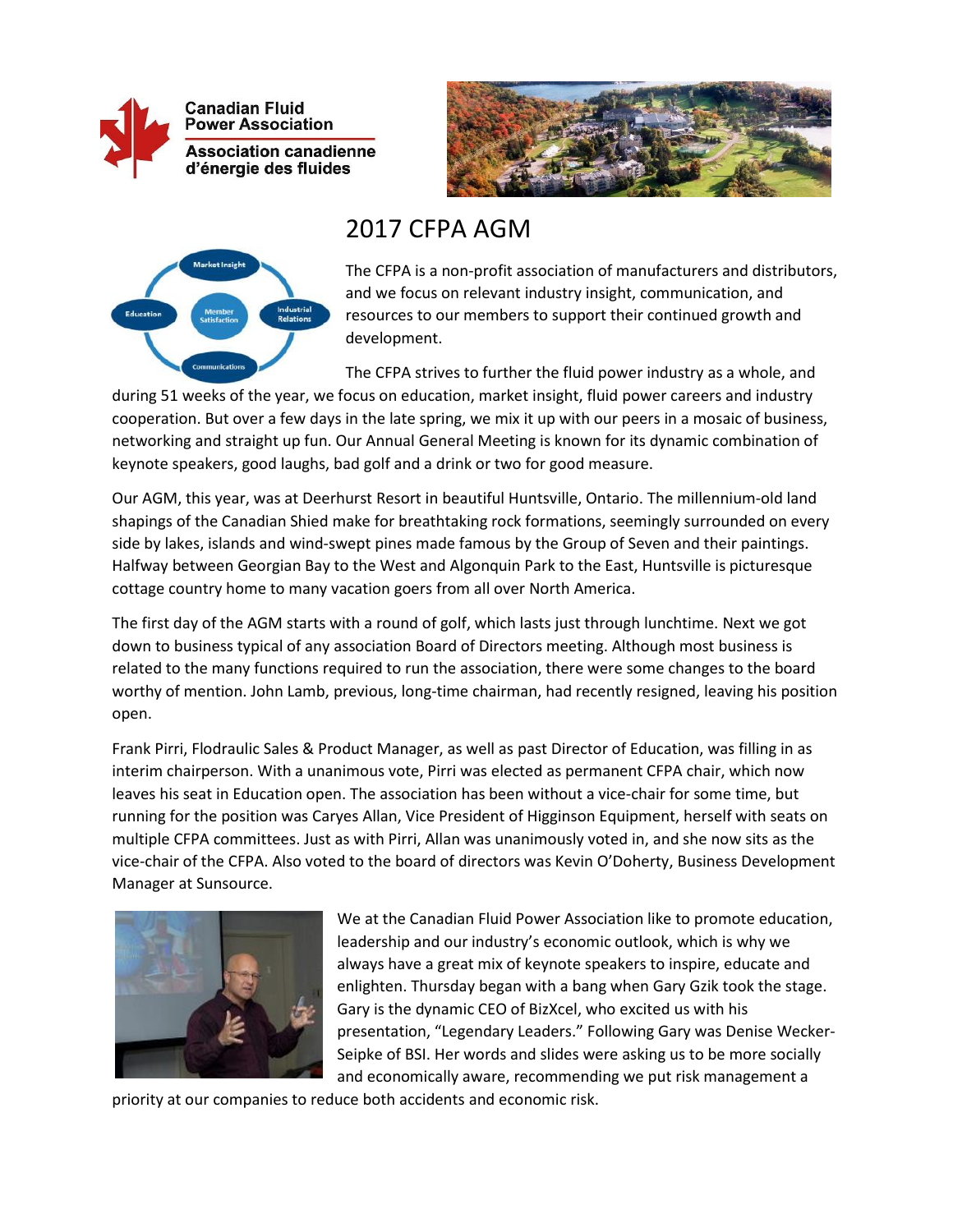



## 2017 CFPA AGM



The CFPA is a non-profit association of manufacturers and distributors, and we focus on relevant industry insight, communication, and resources to our members to support their continued growth and development.

The CFPA strives to further the fluid power industry as a whole, and

during 51 weeks of the year, we focus on education, market insight, fluid power careers and industry cooperation. But over a few days in the late spring, we mix it up with our peers in a mosaic of business, networking and straight up fun. Our Annual General Meeting is known for its dynamic combination of keynote speakers, good laughs, bad golf and a drink or two for good measure.

Our AGM, this year, was at Deerhurst Resort in beautiful Huntsville, Ontario. The millennium-old land shapings of the Canadian Shied make for breathtaking rock formations, seemingly surrounded on every side by lakes, islands and wind-swept pines made famous by the Group of Seven and their paintings. Halfway between Georgian Bay to the West and Algonquin Park to the East, Huntsville is picturesque cottage country home to many vacation goers from all over North America.

The first day of the AGM starts with a round of golf, which lasts just through lunchtime. Next we got down to business typical of any association Board of Directors meeting. Although most business is related to the many functions required to run the association, there were some changes to the board worthy of mention. John Lamb, previous, long-time chairman, had recently resigned, leaving his position open.

Frank Pirri, Flodraulic Sales & Product Manager, as well as past Director of Education, was filling in as interim chairperson. With a unanimous vote, Pirri was elected as permanent CFPA chair, which now leaves his seat in Education open. The association has been without a vice-chair for some time, but running for the position was Caryes Allan, Vice President of Higginson Equipment, herself with seats on multiple CFPA committees. Just as with Pirri, Allan was unanimously voted in, and she now sits as the vice-chair of the CFPA. Also voted to the board of directors was Kevin O'Doherty, Business Development Manager at Sunsource.



We at the Canadian Fluid Power Association like to promote education, leadership and our industry's economic outlook, which is why we always have a great mix of keynote speakers to inspire, educate and enlighten. Thursday began with a bang when Gary Gzik took the stage. Gary is the dynamic CEO of BizXcel, who excited us with his presentation, "Legendary Leaders." Following Gary was Denise Wecker-Seipke of BSI. Her words and slides were asking us to be more socially and economically aware, recommending we put risk management a

priority at our companies to reduce both accidents and economic risk.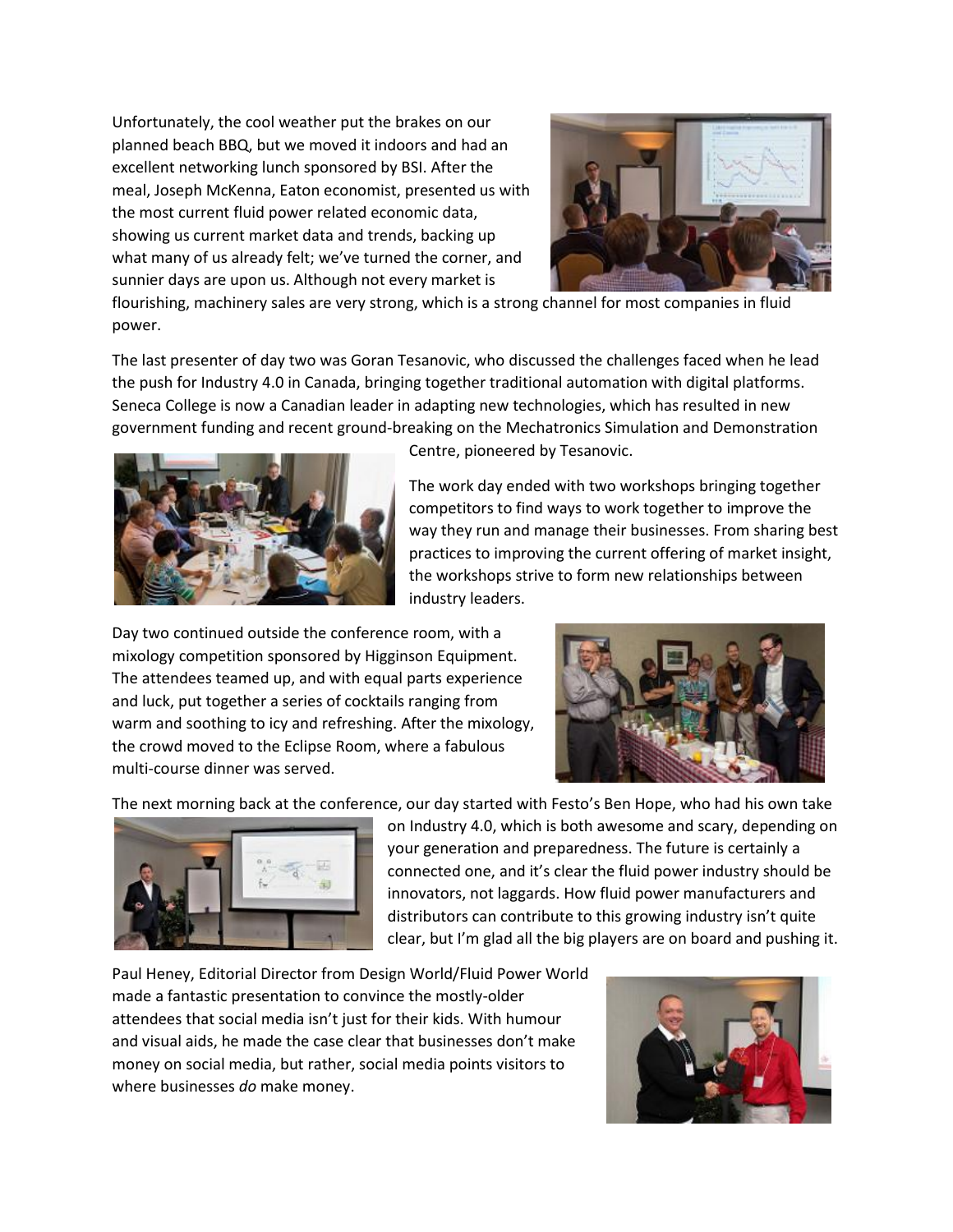Unfortunately, the cool weather put the brakes on our planned beach BBQ, but we moved it indoors and had an excellent networking lunch sponsored by BSI. After the meal, Joseph McKenna, Eaton economist, presented us with the most current fluid power related economic data, showing us current market data and trends, backing up what many of us already felt; we've turned the corner, and sunnier days are upon us. Although not every market is



flourishing, machinery sales are very strong, which is a strong channel for most companies in fluid power.

The last presenter of day two was Goran Tesanovic, who discussed the challenges faced when he lead the push for Industry 4.0 in Canada, bringing together traditional automation with digital platforms. Seneca College is now a Canadian leader in adapting new technologies, which has resulted in new government funding and recent ground-breaking on the Mechatronics Simulation and Demonstration



Centre, pioneered by Tesanovic.

The work day ended with two workshops bringing together competitors to find ways to work together to improve the way they run and manage their businesses. From sharing best practices to improving the current offering of market insight, the workshops strive to form new relationships between industry leaders.

Day two continued outside the conference room, with a mixology competition sponsored by Higginson Equipment. The attendees teamed up, and with equal parts experience and luck, put together a series of cocktails ranging from warm and soothing to icy and refreshing. After the mixology, the crowd moved to the Eclipse Room, where a fabulous multi-course dinner was served.



The next morning back at the conference, our day started with Festo's Ben Hope, who had his own take



on Industry 4.0, which is both awesome and scary, depending on your generation and preparedness. The future is certainly a connected one, and it's clear the fluid power industry should be innovators, not laggards. How fluid power manufacturers and distributors can contribute to this growing industry isn't quite clear, but I'm glad all the big players are on board and pushing it.

Paul Heney, Editorial Director from Design World/Fluid Power World made a fantastic presentation to convince the mostly-older attendees that social media isn't just for their kids. With humour and visual aids, he made the case clear that businesses don't make money on social media, but rather, social media points visitors to where businesses *do* make money.